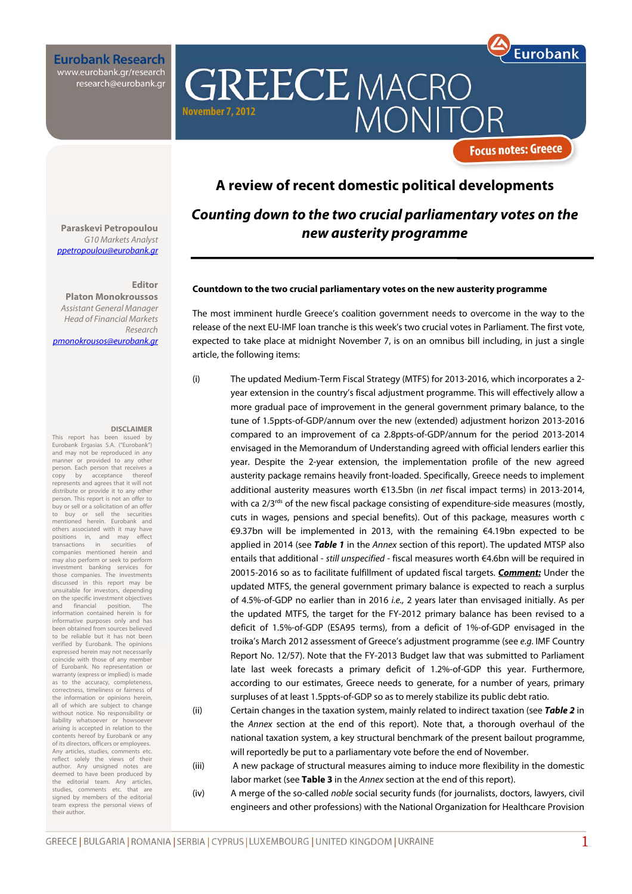**Eurobank Research** www.eurobank.gr/research research@eurobank.gr

**GREECE MACRO MONIT November 7, 2012** 

**Focus notes: Greece** 

Eurobank

### **A review of recent domestic political developments**

### **Counting down to the two crucial parliamentary votes on the new austerity programme**

#### **Countdown to the two crucial parliamentary votes on the new austerity programme**

The most imminent hurdle Greece's coalition government needs to overcome in the way to the release of the next EU-IMF loan tranche is this week's two crucial votes in Parliament. The first vote, expected to take place at midnight November 7, is on an omnibus bill including, in just a single article, the following items:

(i) The updated Medium-Term Fiscal Strategy (MTFS) for 2013-2016, which incorporates a 2 year extension in the country's fiscal adjustment programme. This will effectively allow a more gradual pace of improvement in the general government primary balance, to the tune of 1.5ppts-of-GDP/annum over the new (extended) adjustment horizon 2013-2016 compared to an improvement of ca 2.8ppts-of-GDP/annum for the period 2013-2014 envisaged in the Memorandum of Understanding agreed with official lenders earlier this year. Despite the 2-year extension, the implementation profile of the new agreed austerity package remains heavily front-loaded. Specifically, Greece needs to implement additional austerity measures worth €13.5bn (in net fiscal impact terms) in 2013-2014, with ca 2/3<sup>rds</sup> of the new fiscal package consisting of expenditure-side measures (mostly, cuts in wages, pensions and special benefits). Out of this package, measures worth c €9.37bn will be implemented in 2013, with the remaining €4.19bn expected to be applied in 2014 (see **Table 1** in the Annex section of this report). The updated MTSP also entails that additional - still unspecified - fiscal measures worth €4.6bn will be required in 20015-2016 so as to facilitate fulfillment of updated fiscal targets. **Comment:** Under the updated MTFS, the general government primary balance is expected to reach a surplus of 4.5%-of-GDP no earlier than in 2016 i.e., 2 years later than envisaged initially. As per the updated MTFS, the target for the FY-2012 primary balance has been revised to a deficit of 1.5%-of-GDP (ESA95 terms), from a deficit of 1%-of-GDP envisaged in the troika's March 2012 assessment of Greece's adjustment programme (see e.g. IMF Country Report No. 12/57). Note that the FY-2013 Budget law that was submitted to Parliament late last week forecasts a primary deficit of 1.2%-of-GDP this year. Furthermore, according to our estimates, Greece needs to generate, for a number of years, primary surpluses of at least 1.5ppts-of-GDP so as to merely stabilize its public debt ratio.

(ii) Certain changes in the taxation system, mainly related to indirect taxation (see **Table 2** in the Annex section at the end of this report). Note that, a thorough overhaul of the national taxation system, a key structural benchmark of the present bailout programme, will reportedly be put to a parliamentary vote before the end of November.

(iii) A new package of structural measures aiming to induce more flexibility in the domestic labor market (see **Table 3** in the Annex section at the end of this report).

(iv) A merge of the so-called noble social security funds (for journalists, doctors, lawyers, civil engineers and other professions) with the National Organization for Healthcare Provision

**Paraskevi Petropoulou**  G10 Markets Analyst ppetropoulou@eurobank.gr

### **Editor**

**Platon Monokroussos**  Assistant General Manager Head of Financial Markets Research pmonokrousos@eurobank.gr

#### **DISCLAIMER**

This report has been issued by Eurobank Ergasias S.A. ("Eurobank") and may not be reproduced in any manner or provided to any other person. Each person that receives a<br>conv by acceptance thereof copy by acceptance thereof represents and agrees that it will not distribute or provide it to any other person. This report is not an offer to buy or sell or a solicitation of an offer to buy or sell the securities mentioned herein. Eurobank and others associated with it may have<br>positions in, and may effect positions in, and may transactions in securities of companies mentioned herein and may also perform or seek to perform investment banking services for those companies. The investments discussed in this report may be unsuitable for investors, depending on the specific investment objectives and financial position. The information contained herein is for informative purposes only and has been obtained from sources believed to be reliable but it has not been verified by Eurobank. The opinions expressed herein may not necessarily coincide with those of any member of Eurobank. No representation or warranty (express or implied) is made as to the accuracy, completeness, correctness, timeliness or fairness of the information or opinions herein, all of which are subject to change without notice. No responsibility or liability whatsoever or howsoever arising is accepted in relation to the contents hereof by Eurobank or any of its directors, officers or employees. Any articles, studies, comments etc. reflect solely the views of their author. Any unsigned notes are deemed to have been produced by the editorial team. Any articles, studies, comments etc. that are signed by members of the editorial team express the personal views of their author.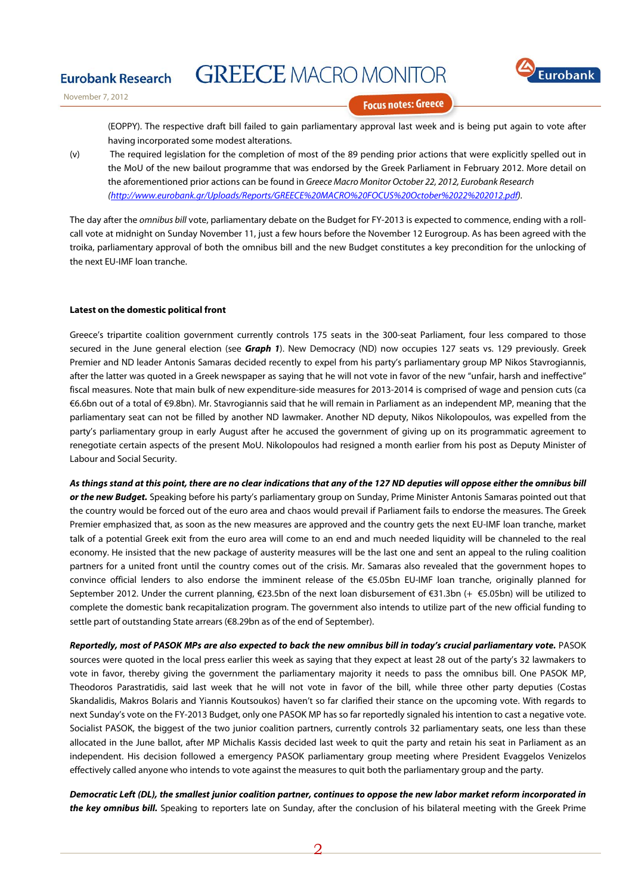

November 7, 2012

**Eurobank Research** 

**Focus notes: Greece** 

(EOPPY). The respective draft bill failed to gain parliamentary approval last week and is being put again to vote after having incorporated some modest alterations.

(v) The required legislation for the completion of most of the 89 pending prior actions that were explicitly spelled out in the MoU of the new bailout programme that was endorsed by the Greek Parliament in February 2012. More detail on the aforementioned prior actions can be found in Greece Macro Monitor October 22, 2012. Eurobank Research (http://www.eurobank.gr/Uploads/Reports/GREECE%20MACRO%20FOCUS%20October%2022%202012.pdf).

The day after the *omnibus bill vote*, parliamentary debate on the Budget for FY-2013 is expected to commence, ending with a rollcall vote at midnight on Sunday November 11, just a few hours before the November 12 Eurogroup. As has been agreed with the troika, parliamentary approval of both the omnibus bill and the new Budget constitutes a key precondition for the unlocking of the next EU-IMF loan tranche.

### **Latest on the domestic political front**

Greece's tripartite coalition government currently controls 175 seats in the 300-seat Parliament, four less compared to those secured in the June general election (see **Graph 1**). New Democracy (ND) now occupies 127 seats vs. 129 previously. Greek Premier and ND leader Antonis Samaras decided recently to expel from his party's parliamentary group MP Nikos Stavrogiannis, after the latter was quoted in a Greek newspaper as saying that he will not vote in favor of the new "unfair, harsh and ineffective" fiscal measures. Note that main bulk of new expenditure-side measures for 2013-2014 is comprised of wage and pension cuts (ca €6.6bn out of a total of €9.8bn). Mr. Stavrogiannis said that he will remain in Parliament as an independent MP, meaning that the parliamentary seat can not be filled by another ND lawmaker. Another ND deputy, Nikos Nikolopoulos, was expelled from the party's parliamentary group in early August after he accused the government of giving up on its programmatic agreement to renegotiate certain aspects of the present MoU. Nikolopoulos had resigned a month earlier from his post as Deputy Minister of Labour and Social Security.

**As things stand at this point, there are no clear indications that any of the 127 ND deputies will oppose either the omnibus bill or the new Budget.** Speaking before his party's parliamentary group on Sunday, Prime Minister Antonis Samaras pointed out that the country would be forced out of the euro area and chaos would prevail if Parliament fails to endorse the measures. The Greek Premier emphasized that, as soon as the new measures are approved and the country gets the next EU-IMF loan tranche, market talk of a potential Greek exit from the euro area will come to an end and much needed liquidity will be channeled to the real economy. He insisted that the new package of austerity measures will be the last one and sent an appeal to the ruling coalition partners for a united front until the country comes out of the crisis. Mr. Samaras also revealed that the government hopes to convince official lenders to also endorse the imminent release of the €5.05bn EU-IMF loan tranche, originally planned for September 2012. Under the current planning, €23.5bn of the next loan disbursement of €31.3bn (+ €5.05bn) will be utilized to complete the domestic bank recapitalization program. The government also intends to utilize part of the new official funding to settle part of outstanding State arrears (€8.29bn as of the end of September).

**Reportedly, most of PASOK MPs are also expected to back the new omnibus bill in today's crucial parliamentary vote.** PASOK sources were quoted in the local press earlier this week as saying that they expect at least 28 out of the party's 32 lawmakers to vote in favor, thereby giving the government the parliamentary majority it needs to pass the omnibus bill. One PASOK MP, Theodoros Parastratidis, said last week that he will not vote in favor of the bill, while three other party deputies (Costas Skandalidis, Makros Bolaris and Yiannis Koutsoukos) haven't so far clarified their stance on the upcoming vote. With regards to next Sunday's vote on the FY-2013 Budget, only one PASOK MP has so far reportedly signaled his intention to cast a negative vote. Socialist PASOK, the biggest of the two junior coalition partners, currently controls 32 parliamentary seats, one less than these allocated in the June ballot, after MP Michalis Kassis decided last week to quit the party and retain his seat in Parliament as an independent. His decision followed a emergency PASOK parliamentary group meeting where President Evaggelos Venizelos effectively called anyone who intends to vote against the measures to quit both the parliamentary group and the party.

**Democratic Left (DL), the smallest junior coalition partner, continues to oppose the new labor market reform incorporated in the key omnibus bill.** Speaking to reporters late on Sunday, after the conclusion of his bilateral meeting with the Greek Prime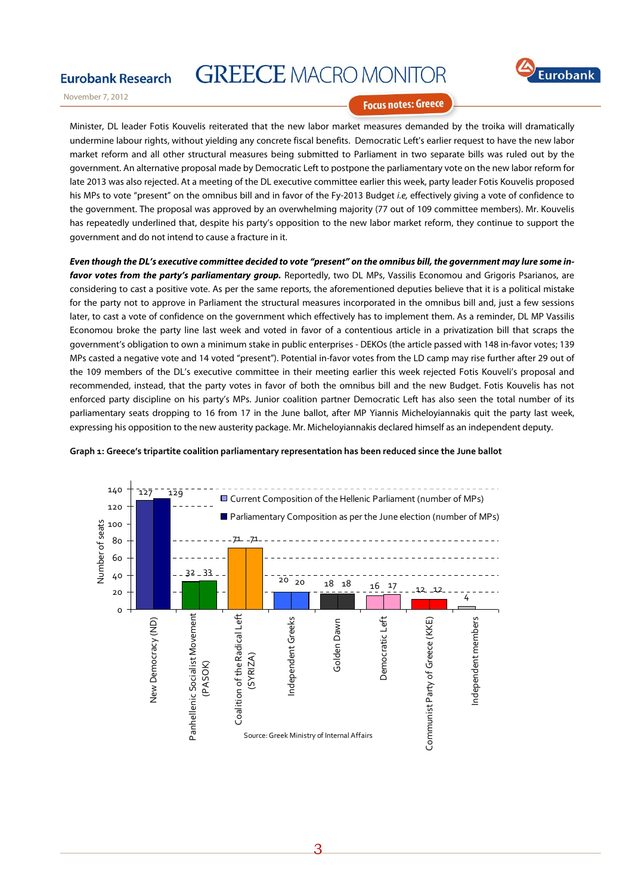

November 7, 2012

**Eurobank Research** 

**Focus notes: Greece** 

Minister, DL leader Fotis Kouvelis reiterated that the new labor market measures demanded by the troika will dramatically undermine labour rights, without yielding any concrete fiscal benefits. Democratic Left's earlier request to have the new labor market reform and all other structural measures being submitted to Parliament in two separate bills was ruled out by the government. An alternative proposal made by Democratic Left to postpone the parliamentary vote on the new labor reform for late 2013 was also rejected. At a meeting of the DL executive committee earlier this week, party leader Fotis Kouvelis proposed his MPs to vote "present" on the omnibus bill and in favor of the Fy-2013 Budget i.e, effectively giving a vote of confidence to the government. The proposal was approved by an overwhelming majority (77 out of 109 committee members). Mr. Kouvelis has repeatedly underlined that, despite his party's opposition to the new labor market reform, they continue to support the government and do not intend to cause a fracture in it.

**Even though the DL's executive committee decided to vote "present" on the omnibus bill, the government may lure some infavor votes from the party's parliamentary group.** Reportedly, two DL MPs, Vassilis Economou and Grigoris Psarianos, are considering to cast a positive vote. As per the same reports, the aforementioned deputies believe that it is a political mistake for the party not to approve in Parliament the structural measures incorporated in the omnibus bill and, just a few sessions later, to cast a vote of confidence on the government which effectively has to implement them. As a reminder, DL MP Vassilis Economou broke the party line last week and voted in favor of a contentious article in a privatization bill that scraps the government's obligation to own a minimum stake in public enterprises - DEKOs (the article passed with 148 in-favor votes; 139 MPs casted a negative vote and 14 voted "present"). Potential in-favor votes from the LD camp may rise further after 29 out of the 109 members of the DL's executive committee in their meeting earlier this week rejected Fotis Kouveli's proposal and recommended, instead, that the party votes in favor of both the omnibus bill and the new Budget. Fotis Kouvelis has not enforced party discipline on his party's MPs. Junior coalition partner Democratic Left has also seen the total number of its parliamentary seats dropping to 16 from 17 in the June ballot, after MP Yiannis Micheloyiannakis quit the party last week, expressing his opposition to the new austerity package. Mr. Micheloyiannakis declared himself as an independent deputy.



#### **Graph 1: Greece's tripartite coalition parliamentary representation has been reduced since the June ballot**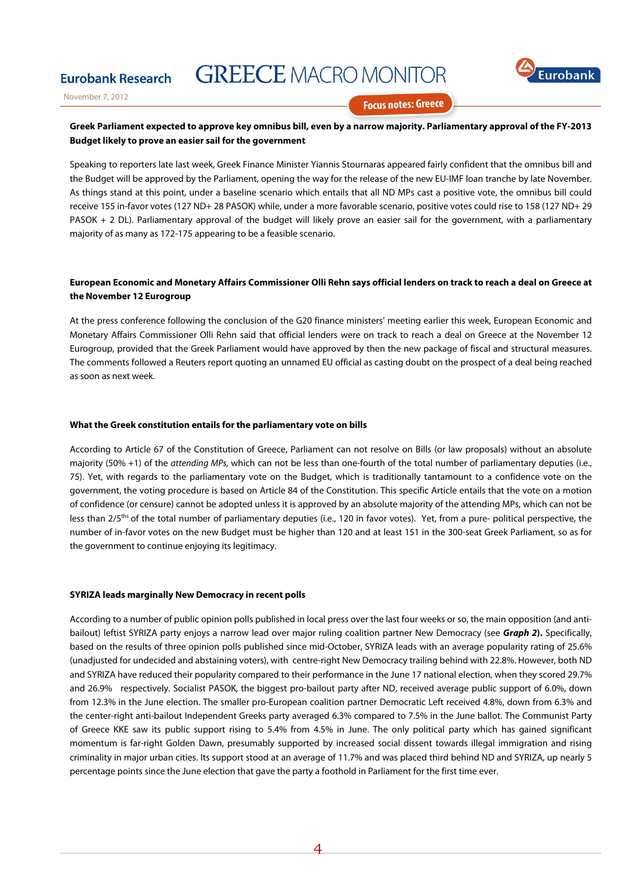

November 7, 2012

**Eurobank Research** 

**Focus notes: Greece** 

### **Greek Parliament expected to approve key omnibus bill, even by a narrow majority. Parliamentary approval of the FY-2013 Budget likely to prove an easier sail for the government**

Speaking to reporters late last week, Greek Finance Minister Yiannis Stournaras appeared fairly confident that the omnibus bill and the Budget will be approved by the Parliament, opening the way for the release of the new EU-IMF loan tranche by late November. As things stand at this point, under a baseline scenario which entails that all ND MPs cast a positive vote, the omnibus bill could receive 155 in-favor votes (127 ND+ 28 PASOK) while, under a more favorable scenario, positive votes could rise to 158 (127 ND+ 29 PASOK + 2 DL). Parliamentary approval of the budget will likely prove an easier sail for the government, with a parliamentary majority of as many as 172-175 appearing to be a feasible scenario.

### **European Economic and Monetary Affairs Commissioner Olli Rehn says official lenders on track to reach a deal on Greece at the November 12 Eurogroup**

At the press conference following the conclusion of the G20 finance ministers' meeting earlier this week, European Economic and Monetary Affairs Commissioner Olli Rehn said that official lenders were on track to reach a deal on Greece at the November 12 Eurogroup, provided that the Greek Parliament would have approved by then the new package of fiscal and structural measures. The comments followed a Reuters report quoting an unnamed EU official as casting doubt on the prospect of a deal being reached as soon as next week.

#### **What the Greek constitution entails for the parliamentary vote on bills**

According to Article 67 of the Constitution of Greece, Parliament can not resolve on Bills (or law proposals) without an absolute majority (50% +1) of the attending MPs, which can not be less than one-fourth of the total number of parliamentary deputies (i.e., 75). Yet, with regards to the parliamentary vote on the Budget, which is traditionally tantamount to a confidence vote on the government, the voting procedure is based on Article 84 of the Constitution. This specific Article entails that the vote on a motion of confidence (or censure) cannot be adopted unless it is approved by an absolute majority of the attending MPs, which can not be less than 2/5<sup>ths</sup> of the total number of parliamentary deputies (i.e., 120 in favor votes). Yet, from a pure- political perspective, the number of in-favor votes on the new Budget must be higher than 120 and at least 151 in the 300-seat Greek Parliament, so as for the government to continue enjoying its legitimacy.

### **SYRIZA leads marginally New Democracy in recent polls**

According to a number of public opinion polls published in local press over the last four weeks or so, the main opposition (and antibailout) leftist SYRIZA party enjoys a narrow lead over major ruling coalition partner New Democracy (see **Graph 2).** Specifically, based on the results of three opinion polls published since mid-October, SYRIZA leads with an average popularity rating of 25.6% (unadjusted for undecided and abstaining voters), with centre-right New Democracy trailing behind with 22.8%. However, both ND and SYRIZA have reduced their popularity compared to their performance in the June 17 national election, when they scored 29.7% and 26.9% respectively. Socialist PASOK, the biggest pro-bailout party after ND, received average public support of 6.0%, down from 12.3% in the June election. The smaller pro-European coalition partner Democratic Left received 4.8%, down from 6.3% and the center-right anti-bailout Independent Greeks party averaged 6.3% compared to 7.5% in the June ballot. The Communist Party of Greece KKE saw its public support rising to 5.4% from 4.5% in June. The only political party which has gained significant momentum is far-right Golden Dawn, presumably supported by increased social dissent towards illegal immigration and rising criminality in major urban cities. Its support stood at an average of 11.7% and was placed third behind ND and SYRIZA, up nearly 5 percentage points since the June election that gave the party a foothold in Parliament for the first time ever.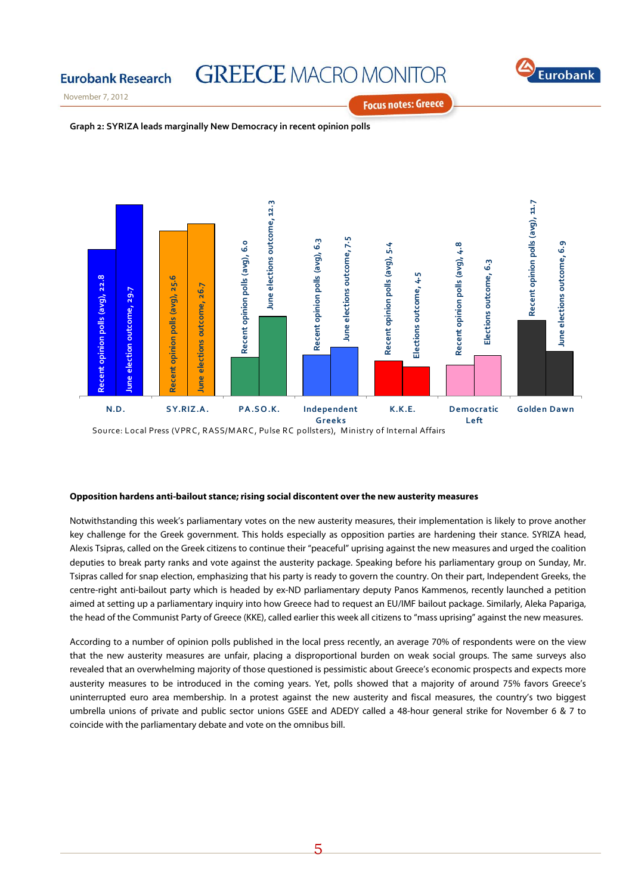

November 7, 2012

**Eurobank Research** 

**Focus notes: Greece** 





#### **Opposition hardens anti-bailout stance; rising social discontent over the new austerity measures**

Notwithstanding this week's parliamentary votes on the new austerity measures, their implementation is likely to prove another key challenge for the Greek government. This holds especially as opposition parties are hardening their stance. SYRIZA head, Alexis Tsipras, called on the Greek citizens to continue their "peaceful" uprising against the new measures and urged the coalition deputies to break party ranks and vote against the austerity package. Speaking before his parliamentary group on Sunday, Mr. Tsipras called for snap election, emphasizing that his party is ready to govern the country. On their part, Independent Greeks, the centre-right anti-bailout party which is headed by ex-ND parliamentary deputy Panos Kammenos, recently launched a petition aimed at setting up a parliamentary inquiry into how Greece had to request an EU/IMF bailout package. Similarly, Aleka Papariga, the head of the Communist Party of Greece (KKE), called earlier this week all citizens to "mass uprising" against the new measures.

According to a number of opinion polls published in the local press recently, an average 70% of respondents were on the view that the new austerity measures are unfair, placing a disproportional burden on weak social groups. The same surveys also revealed that an overwhelming majority of those questioned is pessimistic about Greece's economic prospects and expects more austerity measures to be introduced in the coming years. Yet, polls showed that a majority of around 75% favors Greece's uninterrupted euro area membership. In a protest against the new austerity and fiscal measures, the country's two biggest umbrella unions of private and public sector unions GSEE and ADEDY called a 48-hour general strike for November 6 & 7 to coincide with the parliamentary debate and vote on the omnibus bill.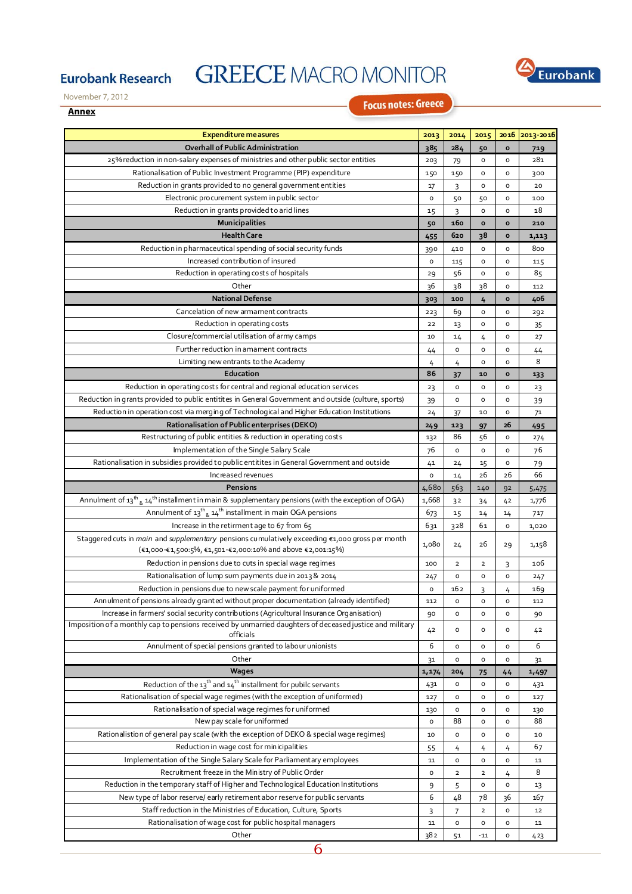

November 7, 2012

**Eurobank Research** 

### **Annex**

**Focus notes: Greece** 

| <b>Expenditure measures</b>                                                                                                                | 2013          | 2014           | 2015                    |                | 2016 2013-2016 |
|--------------------------------------------------------------------------------------------------------------------------------------------|---------------|----------------|-------------------------|----------------|----------------|
| Overhall of Public Administration                                                                                                          | 385           | 284            | 50                      | o              | 719            |
| 25% reduction in non-salary expenses of ministries and other public sector entities                                                        | 203           | 79             | $\mathsf{o}\xspace$     | o              | 281            |
| Rationalisation of Public Investment Programme (PIP) expenditure                                                                           | 150           | 150            | $\mathsf{o}\xspace$     | o              | 300            |
| Reduction in grants provided to no general government entities                                                                             | 17            | 3              | o                       | o              | 20             |
| Electronic procurement system in public sector                                                                                             | $\circ$       | 50             | 50                      | o              | 100            |
| Reduction in grants provided to arid lines                                                                                                 | 15            | 3              | o                       | o              | 18             |
| <b>Municipalities</b>                                                                                                                      | 50            | 160            | $\circ$                 | $\circ$        | 210            |
| <b>Health Care</b>                                                                                                                         | 455           | 620            | 38                      | $\circ$        | 1,113          |
| Reduction in pharmaceutical spending of social security funds                                                                              | 390           | 410            | o                       | o              | 800            |
| Increased contribution of insured                                                                                                          | $\circ$       | 115            | o                       | o              | 115            |
| Reduction in operating costs of hospitals                                                                                                  | 29            | 56             | $\mathsf{o}\xspace$     | o              | 85             |
| Other                                                                                                                                      | 36            | 38             | 38                      | o              | 112            |
| <b>National Defense</b>                                                                                                                    | 303           | 100            | 4                       | $\mathbf{o}$   | 406            |
| Cancelation of new armament contracts                                                                                                      | 223           | 69             | $\mathsf{o}\xspace$     | o              | 292            |
| Reduction in operating costs                                                                                                               | 22            | 13             | o                       | o              | 35             |
| Closure/commercial utilisation of army camps                                                                                               | 10            | 14             | 4                       | o              | 27             |
| Further reduction in amament contracts                                                                                                     | 44            | $\circ$        | o                       | o              | 44             |
| Limiting new entrants to the Academy                                                                                                       | 4             | 4              | o                       | o              | 8              |
| Education<br>Reduction in operating costs for central and regional education services                                                      | 86            | 37             | 10                      | o              | 133            |
|                                                                                                                                            | 23            | O              | o                       | o              | 23             |
| Reduction in grants provided to public entitites in General Government and outside (culture, sports)                                       | 39            | $\circ$        | o                       | o              | 39             |
| Reduction in operation cost via merging of Technological and Higher Education Institutions<br>Rationalisation of Public enterprises (DEKO) | 24            | 37             | 10                      | o<br>26        | 71             |
| Restructuring of public entities & reduction in operating costs                                                                            | 249<br>132    | 123<br>86      | 97<br>56                | $\mathsf{o}\,$ | 495            |
| Implementation of the Single Salary Scale                                                                                                  | 76            | $\circ$        | $\mathsf{o}\xspace$     | o              | 274<br>76      |
| Rationalisation in subsidies provided to public entitites in General Government and outside                                                |               |                |                         | o              |                |
| Increased revenues                                                                                                                         | 41<br>$\circ$ | 24<br>14       | 15<br>26                | 26             | 79<br>66       |
| Pensions                                                                                                                                   | 4,680         | 563            | 140                     | 92             | 5,475          |
| Annulment of $13^{\text{th}}$ & $14^{\text{th}}$ installment in main & supplementary pensions (with the exception of OGA)                  | 1,668         | 32             | 34                      | 42             | 1,776          |
| Annulment of $13^{th}$ <sub>&amp;</sub> $14^{th}$ installment in main OGA pensions                                                         | 673           | 15             | 14                      | 14             | 717            |
| Increase in the retirment age to 67 from 65                                                                                                | 631           | 328            | 61                      | o              | 1,020          |
| Staggered cuts in main and supplementary pensions cumulatively exceeding $\epsilon$ 1,000 gross per month                                  |               |                |                         |                |                |
| (€1,000-€1,500:5%, €1,501-€2,000:10% and above €2,001:15%)                                                                                 | 1,080         | 24             | 26                      | 29             | 1,158          |
| Reduction in pensions due to cuts in special wage regimes                                                                                  | 100           | $\overline{2}$ | $\overline{2}$          | 3              | 106            |
| Rationalisation of lump sum payments due in 2013 & 2014                                                                                    | 247           | $\circ$        | o                       | o              | 247            |
| Reduction in pensions due to new scale payment for uniformed                                                                               | o             | 162            | 3                       | 4              | 169            |
| Annulment of pensions already granted without proper documentation (already identified)                                                    | 112           | 0              | 0                       | 0              | 112            |
| Increase in farmers' social security contributions (Agricultural Insurance Organisation)                                                   | 90            | $\circ$        | 0                       | о              | 90             |
| Imposition of a monthly cap to pensions received by unmarried daughters of deceased justice and military                                   | 42            | o              | o                       | о              | 42             |
| officials                                                                                                                                  |               |                |                         |                |                |
| Annulment of special pensions granted to labour unionists                                                                                  | 6             | o              | o                       | о              | 6              |
| Other                                                                                                                                      | 31            | $\circ$        | O                       | o              | 31             |
| <b>Wages</b>                                                                                                                               | 1, 174        | 204            | 75                      | 44             | 1,497          |
| Reduction of the $13^{th}$ and $14^{th}$ installment for pubilc servants                                                                   | 431           | $\mathsf{o}$   | $\mathsf{o}$            | o              | 431            |
| Rationalisation of special wage regimes (with the exception of uniformed)<br>Rationalisation of special wage regimes for uniformed         | 127           | $\circ$        | o                       | о              | 127            |
| New pay scale for uniformed                                                                                                                | 130<br>o      | $\circ$<br>88  | o<br>0                  | о<br>о         | 130<br>88      |
| Rationalistion of general pay scale (with the exception of DEKO & special wage regimes)                                                    |               |                |                         |                |                |
| Reduction in wage cost for minicipalities                                                                                                  | 10            | 0              | o                       | о              | 10<br>67       |
| Implementation of the Single Salary Scale for Parliamentary employees                                                                      | 55<br>11      | 4<br>0         | 4<br>o                  | 4<br>о         | 11             |
| Recruitment freeze in the Ministry of Public Order                                                                                         | o             | 2              | $\overline{\mathbf{2}}$ |                | 8              |
| Reduction in the temporary staff of Higher and Technological Education Institutions                                                        | 9             | 5              | 0                       | 4<br>o         | 13             |
| New type of labor reserve/ early retirement abor reserve for public servants                                                               | 6             | 48             | 78                      | 36             | 167            |
| Staff reduction in the Ministries of Education, Culture, Sports                                                                            |               | 7              | $\overline{\mathbf{2}}$ | о              | 12             |
| Rationalisation of wage cost for public hospital managers                                                                                  | 3<br>11       | $\mathsf{o}$   | o                       | o              | 11             |
| Other                                                                                                                                      | 382           | 51             | $-11$                   | o              | 423            |
| 6                                                                                                                                          |               |                |                         |                |                |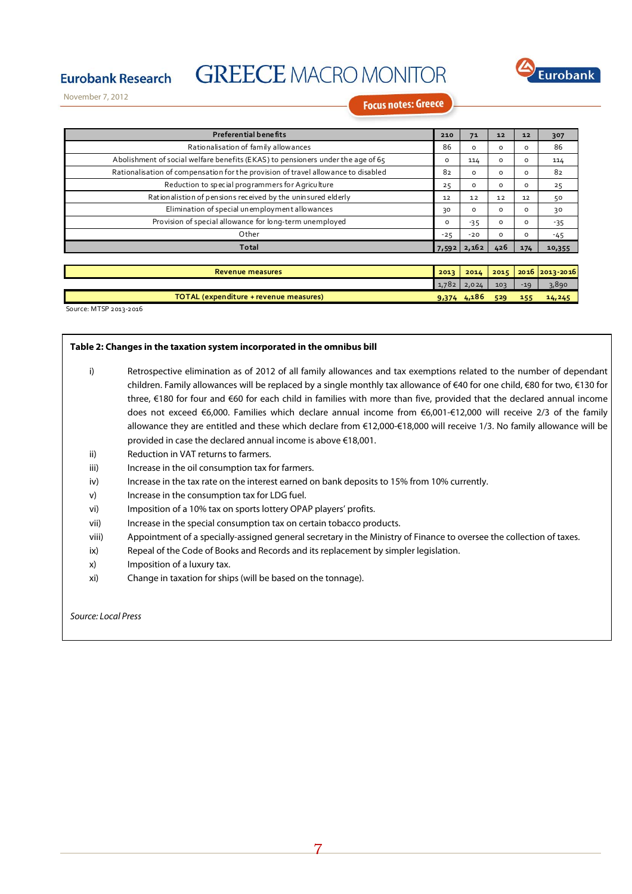

November 7, 2012

**Eurobank Research** 

**Focus notes: Greece** 

| <b>Preferential benefits</b>                                                      | 210   | 71            | 12       | 12       | 307       |
|-----------------------------------------------------------------------------------|-------|---------------|----------|----------|-----------|
| Rationalisation of family allowances                                              | 86    | $\circ$       | o        | o        | 86        |
| Abolishment of social welfare benefits (EKAS) to pensioners under the age of 65   | o     | 114           | $\circ$  | $\Omega$ | 114       |
| Rationalisation of compensation for the provision of travel allowance to disabled | 82    | $\Omega$      | $\Omega$ | $\Omega$ | 82        |
| Reduction to special programmers for Agriculture                                  | 25    | $\mathsf{o}$  | o        | o        | 25        |
| Rationalistion of pensions received by the uninsured elderly                      | 12    | 12            | 12       | 12       | 50        |
| Elimination of special unemployment allowances                                    | 30    | $\circ$       | $\circ$  | $\circ$  | 30        |
| Provision of special allowance for long-term unemployed                           | O     | $-35$         | o        | o        | $-35$     |
| Other                                                                             | $-25$ | $-20$         | o        | $\Omega$ | -45       |
| Total                                                                             | 7,592 | 2,162         | 426      | 174      | 10,355    |
|                                                                                   |       |               |          |          |           |
| Revenue measures                                                                  | 2013  | 2014          | 2015     | 2016     | 2013-2016 |
|                                                                                   | 1,782 | 2,024         | 103      | $-19$    | 3,890     |
| TOTAL (expenditure + revenue measures)                                            |       | $9,374$ 4,186 | 529      | 155      | 14, 245   |

Source: MTSP 2013‐2016

#### **Table 2: Changes in the taxation system incorporated in the omnibus bill**

- i) Retrospective elimination as of 2012 of all family allowances and tax exemptions related to the number of dependant children. Family allowances will be replaced by a single monthly tax allowance of €40 for one child, €80 for two, €130 for three, €180 for four and €60 for each child in families with more than five, provided that the declared annual income does not exceed €6,000. Families which declare annual income from €6,001-€12,000 will receive 2/3 of the family allowance they are entitled and these which declare from €12,000-€18,000 will receive 1/3. No family allowance will be provided in case the declared annual income is above €18,001.
- ii) Reduction in VAT returns to farmers.
- iii) Increase in the oil consumption tax for farmers.
- iv) Increase in the tax rate on the interest earned on bank deposits to 15% from 10% currently.
- v) Increase in the consumption tax for LDG fuel.
- vi) Imposition of a 10% tax on sports lottery OPAP players' profits.
- vii) Increase in the special consumption tax on certain tobacco products.
- viii) Appointment of a specially-assigned general secretary in the Ministry of Finance to oversee the collection of taxes.
- ix) Repeal of the Code of Books and Records and its replacement by simpler legislation.
- x) Imposition of a luxury tax.
- xi) Change in taxation for ships (will be based on the tonnage).

Source: Local Press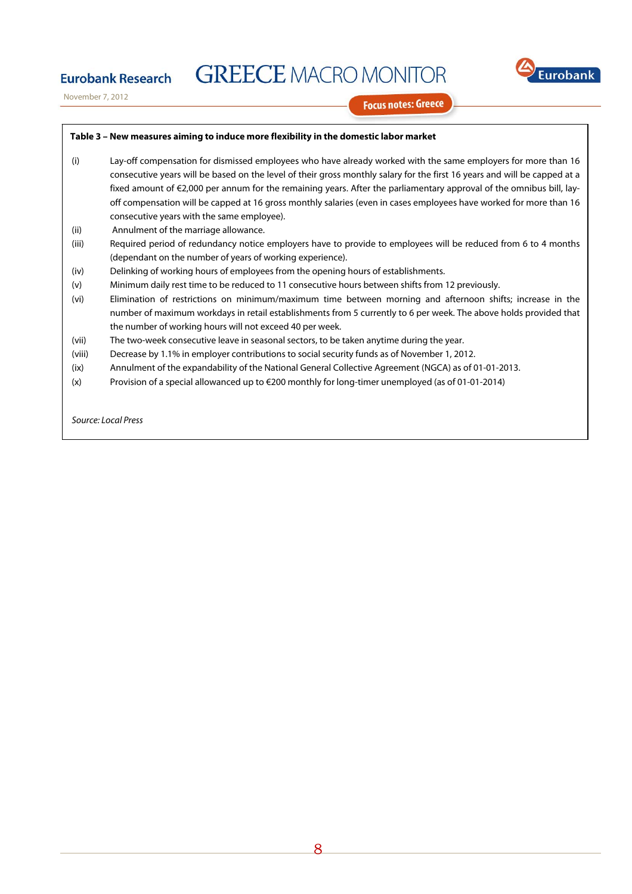

November 7, 2012

**Eurobank Research** 

**Focus notes: Greece** 

### **Table 3 – New measures aiming to induce more flexibility in the domestic labor market**

- (i) Lay-off compensation for dismissed employees who have already worked with the same employers for more than 16 consecutive years will be based on the level of their gross monthly salary for the first 16 years and will be capped at a fixed amount of €2,000 per annum for the remaining years. After the parliamentary approval of the omnibus bill, layoff compensation will be capped at 16 gross monthly salaries (even in cases employees have worked for more than 16 consecutive years with the same employee).
- (ii) Annulment of the marriage allowance.
- (iii) Required period of redundancy notice employers have to provide to employees will be reduced from 6 to 4 months (dependant on the number of years of working experience).
- (iv) Delinking of working hours of employees from the opening hours of establishments.
- (v) Minimum daily rest time to be reduced to 11 consecutive hours between shifts from 12 previously.
- (vi) Elimination of restrictions on minimum/maximum time between morning and afternoon shifts; increase in the number of maximum workdays in retail establishments from 5 currently to 6 per week. The above holds provided that the number of working hours will not exceed 40 per week.
- (vii) The two-week consecutive leave in seasonal sectors, to be taken anytime during the year.
- (viii) Decrease by 1.1% in employer contributions to social security funds as of November 1, 2012.
- (ix) Annulment of the expandability of the National General Collective Agreement (NGCA) as of 01-01-2013.
- (x) Provision of a special allowanced up to €200 monthly for long-timer unemployed (as of 01-01-2014)

Source: Local Press